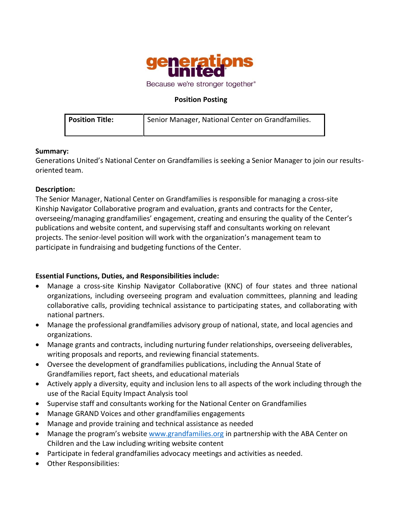

### **Position Posting**

| <b>Position Title:</b> | Senior Manager, National Center on Grandfamilies. |
|------------------------|---------------------------------------------------|
|                        |                                                   |

### **Summary:**

Generations United's National Center on Grandfamilies is seeking a Senior Manager to join our resultsoriented team.

### **Description:**

The Senior Manager, National Center on Grandfamilies is responsible for managing a cross-site Kinship Navigator Collaborative program and evaluation, grants and contracts for the Center, overseeing/managing grandfamilies' engagement, creating and ensuring the quality of the Center's publications and website content, and supervising staff and consultants working on relevant projects. The senior-level position will work with the organization's management team to participate in fundraising and budgeting functions of the Center.

### **Essential Functions, Duties, and Responsibilities include:**

- Manage a cross-site Kinship Navigator Collaborative (KNC) of four states and three national organizations, including overseeing program and evaluation committees, planning and leading collaborative calls, providing technical assistance to participating states, and collaborating with national partners.
- Manage the professional grandfamilies advisory group of national, state, and local agencies and organizations.
- Manage grants and contracts, including nurturing funder relationships, overseeing deliverables, writing proposals and reports, and reviewing financial statements.
- Oversee the development of grandfamilies publications, including the Annual State of Grandfamilies report, fact sheets, and educational materials
- Actively apply a diversity, equity and inclusion lens to all aspects of the work including through the use of the Racial Equity Impact Analysis tool
- Supervise staff and consultants working for the National Center on Grandfamilies
- Manage GRAND Voices and other grandfamilies engagements
- Manage and provide training and technical assistance as needed
- Manage the program's website [www.grandfamilies.org](http://www.grandfamilies.org/) in partnership with the ABA Center on Children and the Law including writing website content
- Participate in federal grandfamilies advocacy meetings and activities as needed.
- Other Responsibilities: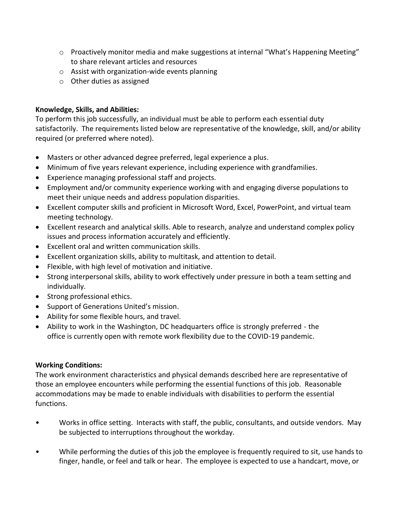- $\circ$  Proactively monitor media and make suggestions at internal "What's Happening Meeting" to share relevant articles and resources
- o Assist with organization-wide events planning
- o Other duties as assigned

# **Knowledge, Skills, and Abilities:**

To perform this job successfully, an individual must be able to perform each essential duty satisfactorily. The requirements listed below are representative of the knowledge, skill, and/or ability required (or preferred where noted).

- Masters or other advanced degree preferred, legal experience a plus.
- Minimum of five years relevant experience, including experience with grandfamilies.
- Experience managing professional staff and projects.
- Employment and/or community experience working with and engaging diverse populations to meet their unique needs and address population disparities.
- Excellent computer skills and proficient in Microsoft Word, Excel, PowerPoint, and virtual team meeting technology.
- Excellent research and analytical skills. Able to research, analyze and understand complex policy issues and process information accurately and efficiently.
- Excellent oral and written communication skills.
- Excellent organization skills, ability to multitask, and attention to detail.
- Flexible, with high level of motivation and initiative.
- Strong interpersonal skills, ability to work effectively under pressure in both a team setting and individually.
- Strong professional ethics.
- Support of Generations United's mission.
- Ability for some flexible hours, and travel.
- Ability to work in the Washington, DC headquarters office is strongly preferred the office is currently open with remote work flexibility due to the COVID-19 pandemic.

# **Working Conditions:**

The work environment characteristics and physical demands described here are representative of those an employee encounters while performing the essential functions of this job. Reasonable accommodations may be made to enable individuals with disabilities to perform the essential functions.

- Works in office setting. Interacts with staff, the public, consultants, and outside vendors. May be subjected to interruptions throughout the workday.
- While performing the duties of this job the employee is frequently required to sit, use hands to finger, handle, or feel and talk or hear. The employee is expected to use a handcart, move, or